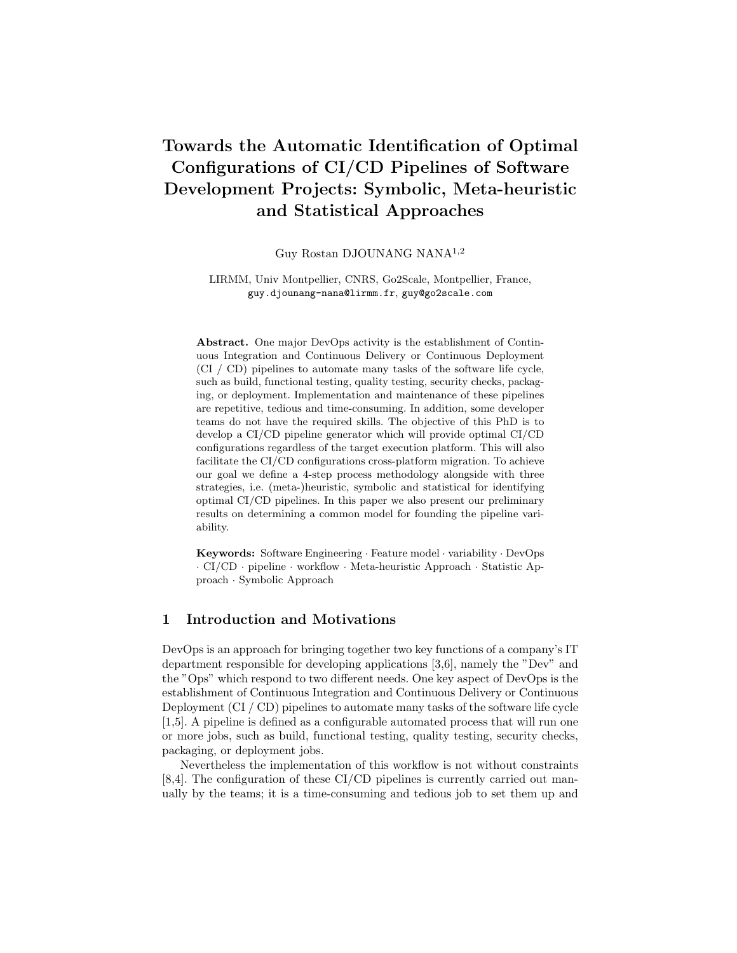# Towards the Automatic Identification of Optimal Configurations of CI/CD Pipelines of Software Development Projects: Symbolic, Meta-heuristic and Statistical Approaches

Guy Rostan DJOUNANG NANA1,<sup>2</sup>

LIRMM, Univ Montpellier, CNRS, Go2Scale, Montpellier, France, guy.djounang-nana@lirmm.fr, guy@go2scale.com

Abstract. One major DevOps activity is the establishment of Continuous Integration and Continuous Delivery or Continuous Deployment (CI / CD) pipelines to automate many tasks of the software life cycle, such as build, functional testing, quality testing, security checks, packaging, or deployment. Implementation and maintenance of these pipelines are repetitive, tedious and time-consuming. In addition, some developer teams do not have the required skills. The objective of this PhD is to develop a CI/CD pipeline generator which will provide optimal CI/CD configurations regardless of the target execution platform. This will also facilitate the CI/CD configurations cross-platform migration. To achieve our goal we define a 4-step process methodology alongside with three strategies, i.e. (meta-)heuristic, symbolic and statistical for identifying optimal CI/CD pipelines. In this paper we also present our preliminary results on determining a common model for founding the pipeline variability.

Keywords: Software Engineering · Feature model · variability · DevOps · CI/CD · pipeline · workflow · Meta-heuristic Approach · Statistic Approach · Symbolic Approach

## 1 Introduction and Motivations

DevOps is an approach for bringing together two key functions of a company's IT department responsible for developing applications [3,6], namely the "Dev" and the "Ops" which respond to two different needs. One key aspect of DevOps is the establishment of Continuous Integration and Continuous Delivery or Continuous Deployment (CI / CD) pipelines to automate many tasks of the software life cycle [1,5]. A pipeline is defined as a configurable automated process that will run one or more jobs, such as build, functional testing, quality testing, security checks, packaging, or deployment jobs.

Nevertheless the implementation of this workflow is not without constraints [8,4]. The configuration of these CI/CD pipelines is currently carried out manually by the teams; it is a time-consuming and tedious job to set them up and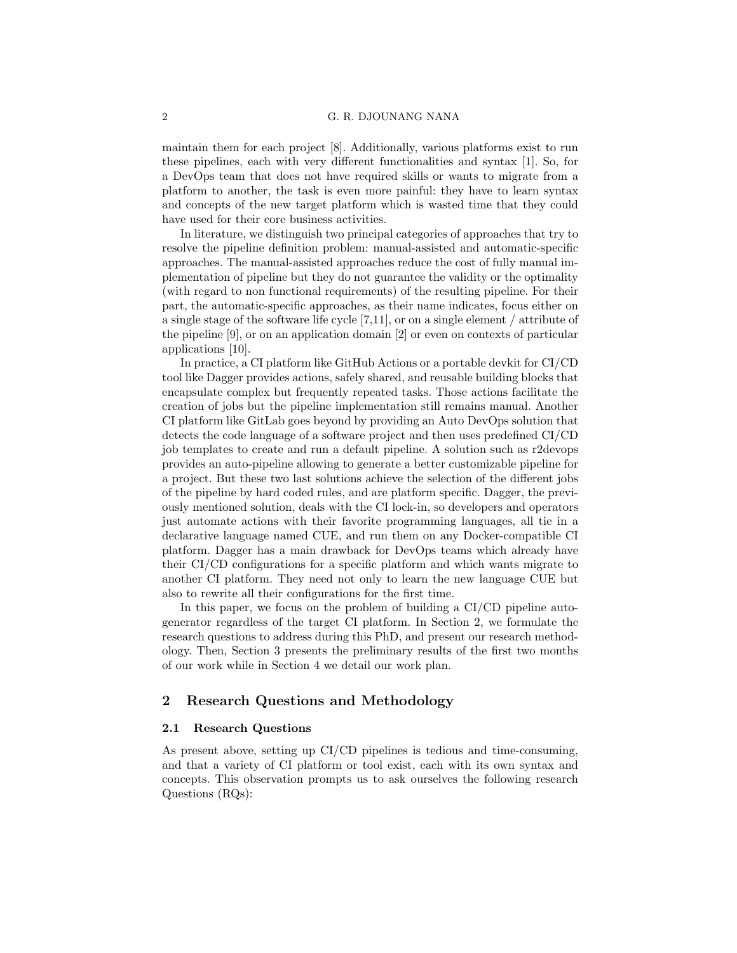maintain them for each project [8]. Additionally, various platforms exist to run these pipelines, each with very different functionalities and syntax [1]. So, for a DevOps team that does not have required skills or wants to migrate from a platform to another, the task is even more painful: they have to learn syntax and concepts of the new target platform which is wasted time that they could have used for their core business activities.

In literature, we distinguish two principal categories of approaches that try to resolve the pipeline definition problem: manual-assisted and automatic-specific approaches. The manual-assisted approaches reduce the cost of fully manual implementation of pipeline but they do not guarantee the validity or the optimality (with regard to non functional requirements) of the resulting pipeline. For their part, the automatic-specific approaches, as their name indicates, focus either on a single stage of the software life cycle [7,11], or on a single element / attribute of the pipeline [9], or on an application domain [2] or even on contexts of particular applications [10].

In practice, a CI platform like GitHub Actions or a portable devkit for CI/CD tool like Dagger provides actions, safely shared, and reusable building blocks that encapsulate complex but frequently repeated tasks. Those actions facilitate the creation of jobs but the pipeline implementation still remains manual. Another CI platform like GitLab goes beyond by providing an Auto DevOps solution that detects the code language of a software project and then uses predefined CI/CD job templates to create and run a default pipeline. A solution such as r2devops provides an auto-pipeline allowing to generate a better customizable pipeline for a project. But these two last solutions achieve the selection of the different jobs of the pipeline by hard coded rules, and are platform specific. Dagger, the previously mentioned solution, deals with the CI lock-in, so developers and operators just automate actions with their favorite programming languages, all tie in a declarative language named CUE, and run them on any Docker-compatible CI platform. Dagger has a main drawback for DevOps teams which already have their CI/CD configurations for a specific platform and which wants migrate to another CI platform. They need not only to learn the new language CUE but also to rewrite all their configurations for the first time.

In this paper, we focus on the problem of building a CI/CD pipeline autogenerator regardless of the target CI platform. In Section 2, we formulate the research questions to address during this PhD, and present our research methodology. Then, Section 3 presents the preliminary results of the first two months of our work while in Section 4 we detail our work plan.

## 2 Research Questions and Methodology

#### 2.1 Research Questions

As present above, setting up CI/CD pipelines is tedious and time-consuming, and that a variety of CI platform or tool exist, each with its own syntax and concepts. This observation prompts us to ask ourselves the following research Questions (RQs):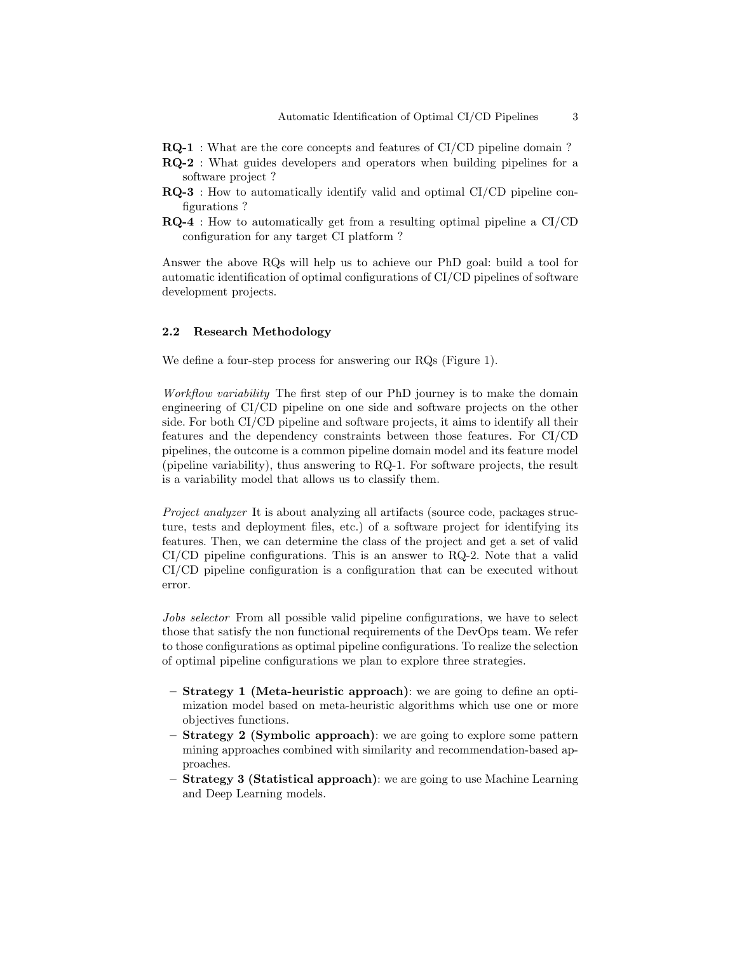- RQ-1 : What are the core concepts and features of CI/CD pipeline domain ?
- RQ-2 : What guides developers and operators when building pipelines for a software project ?
- RQ-3 : How to automatically identify valid and optimal CI/CD pipeline configurations ?
- RQ-4 : How to automatically get from a resulting optimal pipeline a CI/CD configuration for any target CI platform ?

Answer the above RQs will help us to achieve our PhD goal: build a tool for automatic identification of optimal configurations of CI/CD pipelines of software development projects.

#### 2.2 Research Methodology

We define a four-step process for answering our RQs (Figure 1).

Workflow variability The first step of our PhD journey is to make the domain engineering of CI/CD pipeline on one side and software projects on the other side. For both CI/CD pipeline and software projects, it aims to identify all their features and the dependency constraints between those features. For CI/CD pipelines, the outcome is a common pipeline domain model and its feature model (pipeline variability), thus answering to RQ-1. For software projects, the result is a variability model that allows us to classify them.

Project analyzer It is about analyzing all artifacts (source code, packages structure, tests and deployment files, etc.) of a software project for identifying its features. Then, we can determine the class of the project and get a set of valid CI/CD pipeline configurations. This is an answer to RQ-2. Note that a valid CI/CD pipeline configuration is a configuration that can be executed without error.

Jobs selector From all possible valid pipeline configurations, we have to select those that satisfy the non functional requirements of the DevOps team. We refer to those configurations as optimal pipeline configurations. To realize the selection of optimal pipeline configurations we plan to explore three strategies.

- Strategy 1 (Meta-heuristic approach): we are going to define an optimization model based on meta-heuristic algorithms which use one or more objectives functions.
- $-$  Strategy 2 (Symbolic approach): we are going to explore some pattern mining approaches combined with similarity and recommendation-based approaches.
- Strategy 3 (Statistical approach): we are going to use Machine Learning and Deep Learning models.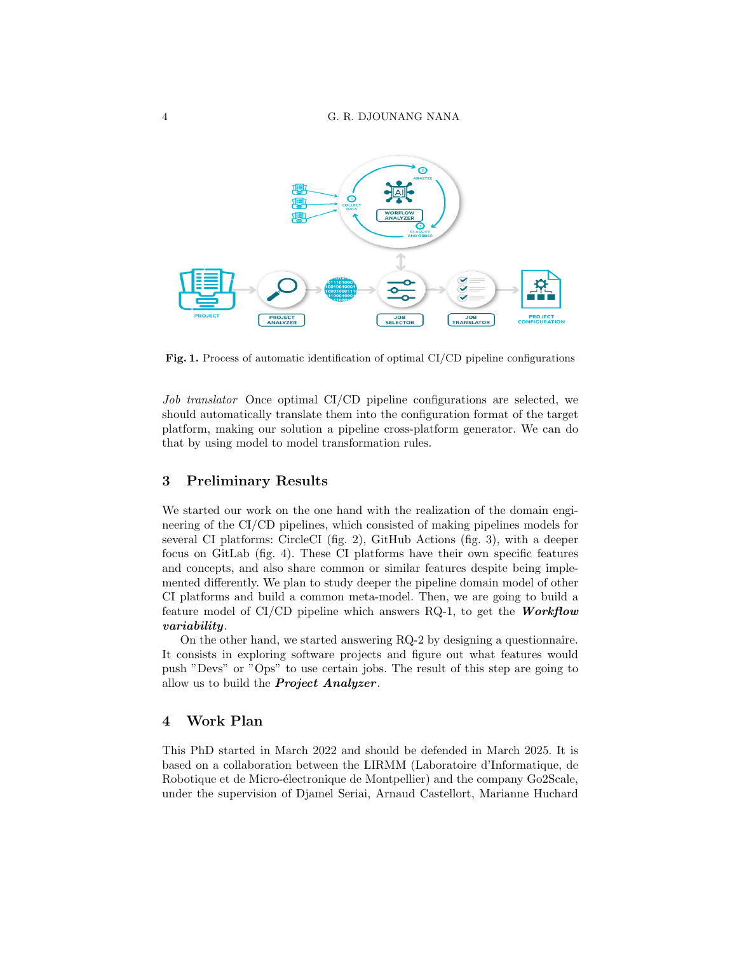

Fig. 1. Process of automatic identification of optimal CI/CD pipeline configurations

Job translator Once optimal CI/CD pipeline configurations are selected, we should automatically translate them into the configuration format of the target platform, making our solution a pipeline cross-platform generator. We can do that by using model to model transformation rules.

### 3 Preliminary Results

We started our work on the one hand with the realization of the domain engineering of the CI/CD pipelines, which consisted of making pipelines models for several CI platforms: CircleCI (fig. 2), GitHub Actions (fig. 3), with a deeper focus on GitLab (fig. 4). These CI platforms have their own specific features and concepts, and also share common or similar features despite being implemented differently. We plan to study deeper the pipeline domain model of other CI platforms and build a common meta-model. Then, we are going to build a feature model of CI/CD pipeline which answers RQ-1, to get the **Workflow** variability.

On the other hand, we started answering RQ-2 by designing a questionnaire. It consists in exploring software projects and figure out what features would push "Devs" or "Ops" to use certain jobs. The result of this step are going to allow us to build the **Project Analyzer**.

## 4 Work Plan

This PhD started in March 2022 and should be defended in March 2025. It is based on a collaboration between the LIRMM (Laboratoire d'Informatique, de Robotique et de Micro-électronique de Montpellier) and the company Go2Scale, under the supervision of Djamel Seriai, Arnaud Castellort, Marianne Huchard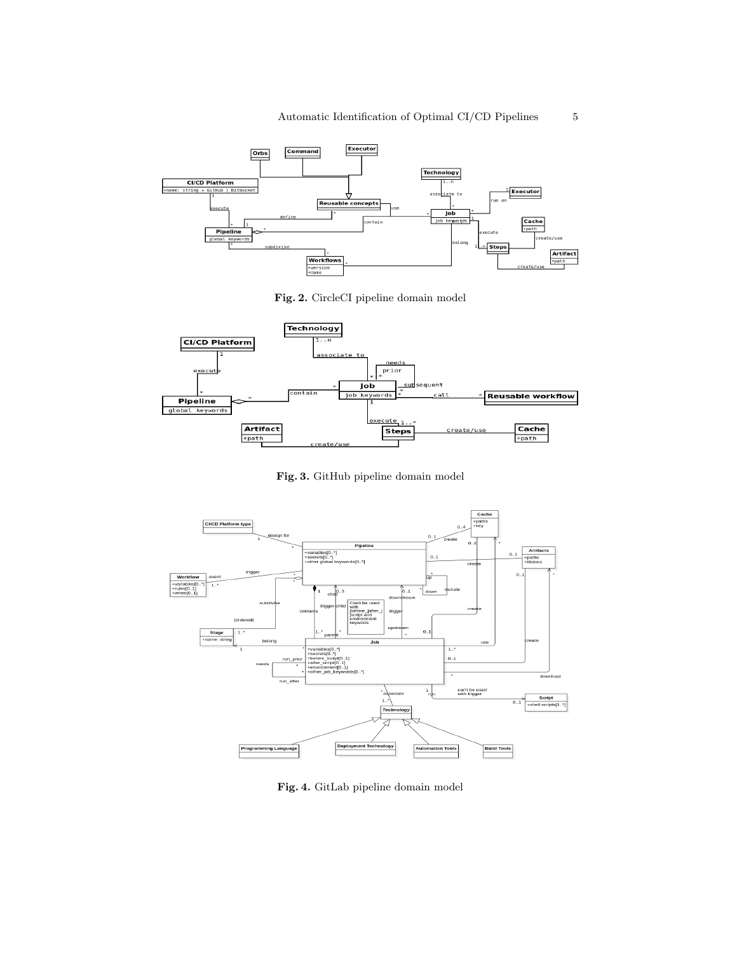

Fig. 2. CircleCI pipeline domain model



Fig. 3. GitHub pipeline domain model



Fig. 4. GitLab pipeline domain model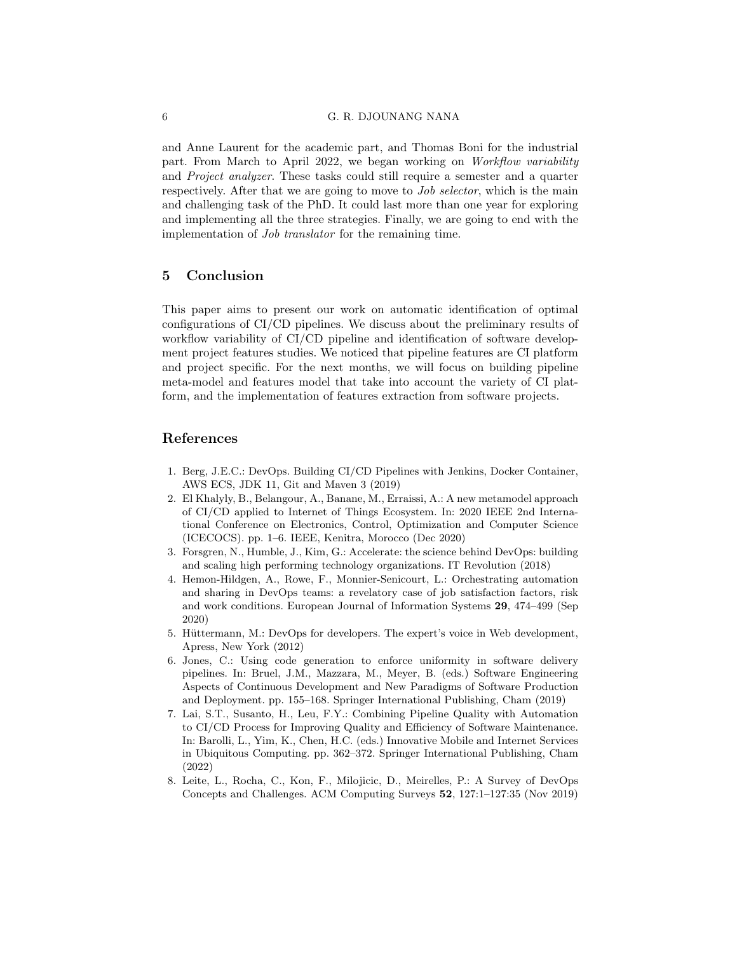and Anne Laurent for the academic part, and Thomas Boni for the industrial part. From March to April 2022, we began working on Workflow variability and Project analyzer. These tasks could still require a semester and a quarter respectively. After that we are going to move to *Job selector*, which is the main and challenging task of the PhD. It could last more than one year for exploring and implementing all the three strategies. Finally, we are going to end with the implementation of Job translator for the remaining time.

## 5 Conclusion

This paper aims to present our work on automatic identification of optimal configurations of CI/CD pipelines. We discuss about the preliminary results of workflow variability of CI/CD pipeline and identification of software development project features studies. We noticed that pipeline features are CI platform and project specific. For the next months, we will focus on building pipeline meta-model and features model that take into account the variety of CI platform, and the implementation of features extraction from software projects.

#### References

- 1. Berg, J.E.C.: DevOps. Building CI/CD Pipelines with Jenkins, Docker Container, AWS ECS, JDK 11, Git and Maven 3 (2019)
- 2. El Khalyly, B., Belangour, A., Banane, M., Erraissi, A.: A new metamodel approach of CI/CD applied to Internet of Things Ecosystem. In: 2020 IEEE 2nd International Conference on Electronics, Control, Optimization and Computer Science (ICECOCS). pp. 1–6. IEEE, Kenitra, Morocco (Dec 2020)
- 3. Forsgren, N., Humble, J., Kim, G.: Accelerate: the science behind DevOps: building and scaling high performing technology organizations. IT Revolution (2018)
- 4. Hemon-Hildgen, A., Rowe, F., Monnier-Senicourt, L.: Orchestrating automation and sharing in DevOps teams: a revelatory case of job satisfaction factors, risk and work conditions. European Journal of Information Systems 29, 474–499 (Sep 2020)
- 5. Hüttermann, M.: DevOps for developers. The expert's voice in Web development, Apress, New York (2012)
- 6. Jones, C.: Using code generation to enforce uniformity in software delivery pipelines. In: Bruel, J.M., Mazzara, M., Meyer, B. (eds.) Software Engineering Aspects of Continuous Development and New Paradigms of Software Production and Deployment. pp. 155–168. Springer International Publishing, Cham (2019)
- 7. Lai, S.T., Susanto, H., Leu, F.Y.: Combining Pipeline Quality with Automation to CI/CD Process for Improving Quality and Efficiency of Software Maintenance. In: Barolli, L., Yim, K., Chen, H.C. (eds.) Innovative Mobile and Internet Services in Ubiquitous Computing. pp. 362–372. Springer International Publishing, Cham (2022)
- 8. Leite, L., Rocha, C., Kon, F., Milojicic, D., Meirelles, P.: A Survey of DevOps Concepts and Challenges. ACM Computing Surveys 52, 127:1–127:35 (Nov 2019)